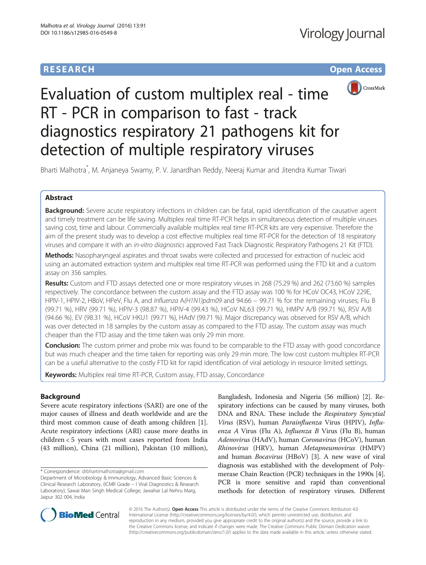# **RESEARCH CHE Open Access**



# Evaluation of custom multiplex real - time RT - PCR in comparison to fast - track diagnostics respiratory 21 pathogens kit for detection of multiple respiratory viruses

Bharti Malhotra\* , M. Anjaneya Swamy, P. V. Janardhan Reddy, Neeraj Kumar and Jitendra Kumar Tiwari

# Abstract

Background: Severe acute respiratory infections in children can be fatal, rapid identification of the causative agent and timely treatment can be life saving. Multiplex real time RT-PCR helps in simultaneous detection of multiple viruses saving cost, time and labour. Commercially available multiplex real time RT-PCR kits are very expensive. Therefore the aim of the present study was to develop a cost effective multiplex real time RT-PCR for the detection of 18 respiratory viruses and compare it with an in-vitro diagnostics approved Fast Track Diagnostic Respiratory Pathogens 21 Kit (FTD).

Methods: Nasopharyngeal aspirates and throat swabs were collected and processed for extraction of nucleic acid using an automated extraction system and multiplex real time RT-PCR was performed using the FTD kit and a custom assay on 356 samples.

Results: Custom and FTD assays detected one or more respiratory viruses in 268 (75.29 %) and 262 (73.60 %) samples respectively. The concordance between the custom assay and the FTD assay was 100 % for HCoV OC43, HCoV 229E, HPIV-1, HPIV-2, HBoV, HPeV, Flu A, and Influenza A(H1N1)pdm09 and 94.66 – 99.71 % for the remaining viruses; Flu B (99.71 %), HRV (99.71 %), HPIV-3 (98.87 %), HPIV-4 (99.43 %), HCoV NL63 (99.71 %), HMPV A/B (99.71 %), RSV A/B (94.66 %), EV (98.31 %), HCoV HKU1 (99.71 %), HAdV (99.71 %). Major discrepancy was observed for RSV A/B, which was over detected in 18 samples by the custom assay as compared to the FTD assay. The custom assay was much cheaper than the FTD assay and the time taken was only 29 min more.

**Conclusion:** The custom primer and probe mix was found to be comparable to the FTD assay with good concordance but was much cheaper and the time taken for reporting was only 29 min more. The low cost custom multiplex RT-PCR can be a useful alternative to the costly FTD kit for rapid identification of viral aetiology in resource limited settings.

Keywords: Multiplex real time RT-PCR, Custom assay, FTD assay, Concordance

# Background

Severe acute respiratory infections (SARI) are one of the major causes of illness and death worldwide and are the third most common cause of death among children [\[1](#page-6-0)]. Acute respiratory infections (ARI) cause more deaths in children < 5 years with most cases reported from India (43 million), China (21 million), Pakistan (10 million),

\* Correspondence: [drbhartimalhotra@gmail.com](mailto:drbhartimalhotra@gmail.com)

Bangladesh, Indonesia and Nigeria (56 million) [\[2\]](#page-6-0). Respiratory infections can be caused by many viruses, both DNA and RNA. These include the Respiratory Syncytial Virus (RSV), human Parainfluenza Virus (HPIV), Influenza A Virus (Flu A), Influenza B Virus (Flu B), human Adenovirus (HAdV), human Coronavirus (HCoV), human Rhinovirus (HRV), human Metapneumovirus (HMPV) and human Bocavirus (HBoV) [\[3](#page-6-0)]. A new wave of viral diagnosis was established with the development of Polymerase Chain Reaction (PCR) techniques in the 1990s [[4](#page-6-0)]. PCR is more sensitive and rapid than conventional methods for detection of respiratory viruses. Different



© 2016 The Author(s). Open Access This article is distributed under the terms of the Creative Commons Attribution 4.0 International License [\(http://creativecommons.org/licenses/by/4.0/](http://creativecommons.org/licenses/by/4.0/)), which permits unrestricted use, distribution, and reproduction in any medium, provided you give appropriate credit to the original author(s) and the source, provide a link to the Creative Commons license, and indicate if changes were made. The Creative Commons Public Domain Dedication waiver [\(http://creativecommons.org/publicdomain/zero/1.0/](http://creativecommons.org/publicdomain/zero/1.0/)) applies to the data made available in this article, unless otherwise stated.

Department of Microbiology & Immunology, Advanced Basic Sciences & Clinical Research Laboratory, (ICMR Grade – I Viral Diagnostics & Research Laboratory), Sawai Man Singh Medical College, Jawahar Lal Nehru Marg, Jaipur 302 004, India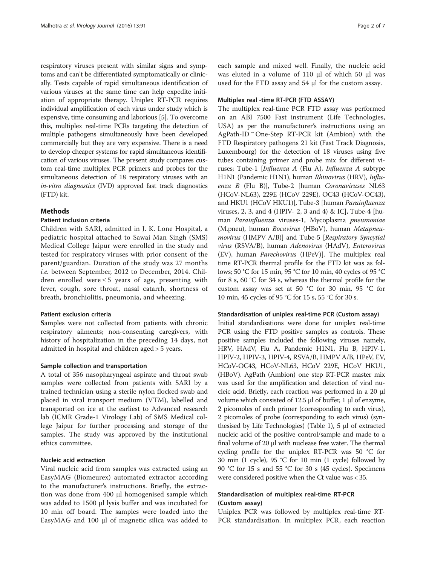respiratory viruses present with similar signs and symptoms and can't be differentiated symptomatically or clinically. Tests capable of rapid simultaneous identification of various viruses at the same time can help expedite initiation of appropriate therapy. Uniplex RT-PCR requires individual amplification of each virus under study which is expensive, time consuming and laborious [\[5](#page-6-0)]. To overcome this, multiplex real-time PCRs targeting the detection of multiple pathogens simultaneously have been developed commercially but they are very expensive. There is a need to develop cheaper systems for rapid simultaneous identification of various viruses. The present study compares custom real-time multiplex PCR primers and probes for the simultaneous detection of 18 respiratory viruses with an in-vitro diagnostics (IVD) approved fast track diagnostics (FTD) kit.

# Methods

### Patient inclusion criteria

Children with SARI, admitted in J. K. Lone Hospital, a pediatric hospital attached to Sawai Man Singh (SMS) Medical College Jaipur were enrolled in the study and tested for respiratory viruses with prior consent of the parent/guardian. Duration of the study was 27 months i.e. between September, 2012 to December, 2014. Children enrolled were  $\leq 5$  years of age, presenting with fever, cough, sore throat, nasal catarrh, shortness of breath, bronchiolitis, pneumonia, and wheezing.

#### Patient exclusion criteria

Samples were not collected from patients with chronic respiratory ailments; non-consenting caregivers, with history of hospitalization in the preceding 14 days, not admitted in hospital and children aged > 5 years.

# Sample collection and transportation

A total of 356 nasopharyngeal aspirate and throat swab samples were collected from patients with SARI by a trained technician using a sterile nylon flocked swab and placed in viral transport medium (VTM), labelled and transported on ice at the earliest to Advanced research lab (ICMR Grade-1 Virology Lab) of SMS Medical college Jaipur for further processing and storage of the samples. The study was approved by the institutional ethics committee.

# Nucleic acid extraction

Viral nucleic acid from samples was extracted using an EasyMAG (Biomeurex) automated extractor according to the manufacturer's instructions. Briefly, the extraction was done from 400 μl homogenised sample which was added to 1500 μl lysis buffer and was incubated for 10 min off board. The samples were loaded into the EasyMAG and 100 μl of magnetic silica was added to each sample and mixed well. Finally, the nucleic acid was eluted in a volume of 110 μl of which 50 μl was used for the FTD assay and 54 μl for the custom assay.

# Multiplex real -time RT-PCR (FTD ASSAY)

The multiplex real-time PCR FTD assay was performed on an ABI 7500 Fast instrument (Life Technologies, USA) as per the manufacturer's instructions using an AgPath-ID ™ One-Step RT-PCR kit (Ambion) with the FTD Respiratory pathogens 21 kit (Fast Track Diagnosis, Luxembourg) for the detection of 18 viruses using five tubes containing primer and probe mix for different viruses; Tube-1 [Influenza A (Flu A), Influenza A subtype H1N1 (Pandemic H1N1), human Rhinovirus (HRV), Influenza B (Flu B)], Tube-2 [human Coronaviruses NL63 (HCoV-NL63), 229E (HCoV 229E), OC43 (HCoV-OC43), and HKU1 (HCoV HKU1)], Tube-3 [human Parainfluenza viruses, 2, 3, and 4 (HPIV- 2, 3 and 4) & IC], Tube-4 [human Parainfluenza viruses-1, Mycoplasma pneumoniae (M.pneu), human Bocavirus (HBoV), human Metapneumovirus (HMPV A/B)] and Tube-5 [Respiratory Syncytial virus (RSVA/B), human Adenovirus (HAdV), Enterovirus (EV), human Parechovirus (HPeV)]. The multiplex real time RT-PCR thermal profile for the FTD kit was as follows; 50 °C for 15 min, 95 °C for 10 min, 40 cycles of 95 °C for 8 s, 60 °C for 34 s, whereas the thermal profile for the custom assay was set at 50 °C for 30 min, 95 °C for 10 min, 45 cycles of 95 °C for 15 s, 55 °C for 30 s.

#### Standardisation of uniplex real-time PCR (Custom assay)

Initial standardisations were done for uniplex real-time PCR using the FTD positive samples as controls. These positive samples included the following viruses namely, HRV, HAdV, Flu A, Pandemic H1N1, Flu B, HPIV-1, HPIV-2, HPIV-3, HPIV-4, RSVA/B, HMPV A/B, HPeV, EV, HCoV-OC43, HCoV-NL63, HCoV 229E, HCoV HKU1, (HBoV). AgPath (Ambion) one step RT-PCR master mix was used for the amplification and detection of viral nucleic acid. Briefly, each reaction was performed in a 20 μl volume which consisted of 12.5 μl of buffer, 1 μl of enzyme, 2 picomoles of each primer (corresponding to each virus), 2 picomoles of probe (corresponding to each virus) (synthesised by Life Technologies) (Table [1\)](#page-2-0), 5 μl of extracted nucleic acid of the positive control/sample and made to a final volume of 20 μl with nuclease free water. The thermal cycling profile for the uniplex RT-PCR was 50 °C for 30 min (1 cycle), 95 °C for 10 min (1 cycle) followed by 90 °C for 15 s and 55 °C for 30 s (45 cycles). Specimens were considered positive when the Ct value was < 35.

# Standardisation of multiplex real-time RT-PCR (Custom assay)

Uniplex PCR was followed by multiplex real-time RT-PCR standardisation. In multiplex PCR, each reaction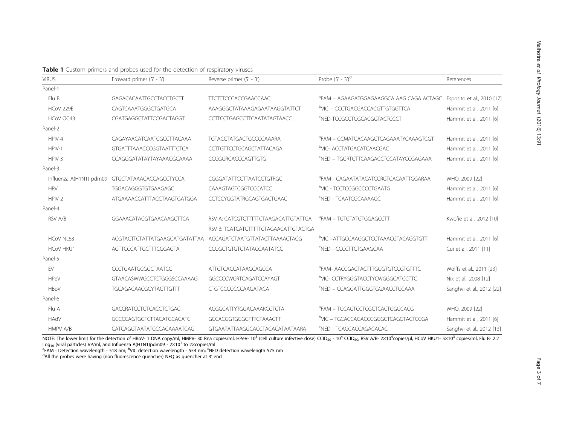<span id="page-2-0"></span>

| Table 1 Custom primers and probes used for the detection of respiratory viruses |  |
|---------------------------------------------------------------------------------|--|
|---------------------------------------------------------------------------------|--|

| <b>VIRUS</b>     | Froward primer (5' - 3')                        | Reverse primer (5' - 3')                                      | Probe $(5' - 3')^d$                               | References                 |
|------------------|-------------------------------------------------|---------------------------------------------------------------|---------------------------------------------------|----------------------------|
| Panel-1          |                                                 |                                                               |                                                   |                            |
| Flu B            | GAGACACAATTGCCTACCTGCTT                         | <b>TICTITCCCACCGAACCAAC</b>                                   | PFAM - AGAAGATGGAGAAGGCA AAG CAGA ACTAGC          | Esposito et al., 2010 [17] |
| HCoV 229E        | CAGTCAAATGGGCTGATGCA                            | AAAGGGCTATAAAGAGAATAAGGTATTCT                                 | <sup>b</sup> VIC – CCCTGACGACCACGTTGTGGTTCA       | Hammit et al., 2011 [6]    |
| HCoV OC43        | CGATGAGGCTATTCCGACTAGGT                         | CCTTCCTGAGCCTTCAATATAGTAACC                                   | <b>SNED-TCCGCCTGGCACGGTACTCCCT</b>                | Hammit et al., 2011 [6]    |
| Panel-2          |                                                 |                                                               |                                                   |                            |
| HPIV-4           | CAGAYAACATCAATCGCCTTACAAA                       | <b>TGTACCTATGACTGCCCCAAARA</b>                                | <sup>a</sup> FAM – CCMATCACAAGCTCAGAAATYCAAAGTCGT | Hammit et al., 2011 [6]    |
| $HPIV-1$         | <b>GTGATTTAAACCCGGTAATTTCTCA</b>                | CCTTGTTCCTGCAGCTATTACAGA                                      | bVIC- ACCTATGACATCAACGAC                          | Hammit et al., 2011 [6]    |
| $HPIV-3$         | CCAGGGATATAYTAYAAAGGCAAAA                       | CCGGGRCACCCAGTTGTG                                            | <sup>C</sup> NED - TGGRTGTTCAAGACCTCCATAYCCGAGAAA | Hammit et al., 2011 [6]    |
| Panel-3          |                                                 |                                                               |                                                   |                            |
|                  | Influenza A(H1N1) pdm09 GTGCTATAAACACCAGCCTYCCA | CGGGATATTCCTTAATCCTGTRGC                                      | <sup>a</sup> FAM - CAGAATATACATCCRGTCACAATTGGARAA | WHO, 2009 [22]             |
| <b>HRV</b>       | TGGACAGGGTGTGAAGAGC                             | CAAAGTAGTCGGTCCCATCC                                          | <sup>b</sup> VIC - TCCTCCGGCCCCTGAATG             | Hammit et al., 2011 [6]    |
| $HPIV-2$         | ATGAAAACCATTTACCTAAGTGATGGA                     | CCTCCYGGTATRGCAGTGACTGAAC                                     | <sup>C</sup> NED - TCAATCGCAAAAGC                 | Hammit et al., 2011 [6]    |
| Panel-4          |                                                 |                                                               |                                                   |                            |
| RSV A/B          | GGAAACATACGTGAACAAGCTTCA                        | RSV-A: CATCGTCTTTTCTAAGACATTGTATTGA                           | <b>PEAM - TGTGTATGTGGAGCCTT</b>                   | Kwofie et al., 2012 [10]   |
|                  |                                                 | RSV-B: TCATCATCTTTTTCTAGAACATTGTACTGA                         |                                                   |                            |
| HCoV NL63        |                                                 | ACGTACTTCTATTATGAAGCATGATATTAA AGCAGATCTAATGTTATACTTAAAACTACG | <sup>b</sup> VIC -ATTGCCAAGGCTCCTAAACGTACAGGTGTT  | Hammit et al., 2011 [6]    |
| <b>HCoV HKU1</b> | AGTTCCCATTGCTTTCGGAGTA                          | CCGGCTGTGTCTATACCAATATCC                                      | <sup>C</sup> NED - CCCCTTCTGAAGCAA                | Cui et al., 2011 [11]      |
| Panel-5          |                                                 |                                                               |                                                   |                            |
| EV               | CCCTGAATGCGGCTAATCC                             | ATTGTCACCATAAGCAGCCA                                          | <sup>a</sup> FAM- AACCGACTACTTTGGGTGTCCGTGTTTC    | Wolffs et al., 2011 [23]   |
| <b>HPeV</b>      | GTAACASWWGCCTCTGGGSCCAAAAG                      | GGCCCCWGRTCAGATCCAYAGT                                        | bVIC- CCTRYGGGTACCTYCWGGGCATCCTTC                 | Nix et al., 2008 [12]      |
| HBoV             | TGCAGACAACGCYTAGTTGTTT                          | CTGTCCCGCCCAAGATACA                                           | FNED - CCAGGATTGGGTGGAACCTGCAAA                   | Sanghvi et al., 2012 [22]  |
| Panel-6          |                                                 |                                                               |                                                   |                            |
| Flu A            | GACCRATCCTGTCACCTCTGAC                          | AGGGCATTYTGGACAAAKCGTCTA                                      | <sup>a</sup> FAM – TGCAGTCCTCGCTCACTGGGCACG       | WHO, 2009 [22]             |
| <b>HAdV</b>      | GCCCCAGTGGTCTTACATGCACATC                       | GCCACGGTGGGGTTTCTAAACTT                                       | <sup>b</sup> VIC - TGCACCAGACCCGGGCTCAGGTACTCCGA  | Hammit et al., 2011 [6]    |
| HMPV A/B         | CATCAGGTAATATCCCACAAAATCAG                      | GTGAATATTAAGGCACCTACACATAATAARA                               | <b>FNED - TCAGCACCAGACACAC</b>                    | Sanghvi et al., 2012 [13]  |

NOTE: The lower limit for the detection of HBoV- 1 DNA copy/ml, HMPV- 30 Rna copies/ml, HPeV- 10<sup>3</sup> (cell culture infective dose) CCID<sub>50</sub> - 10<sup>4</sup> CCID<sub>50</sub>, RSV A/B- 2x10<sup>4</sup>copies/µl, HCoV HKU1- 5x10<sup>3</sup> copies/ml, Flu B- 2 Log<sub>10</sub> (viral particles) VP/ml, and Influenza A(H1N1)pdm09 -  $2\times10^{1}$  to 2×copies/ml

<sup>a</sup>FAM - Detection wavelength - 518 nm; <sup>b</sup>VIC detection wavelength - 554 nm; <sup>c</sup>NED detection wavelength 575 nm<br><sup>d</sup>All the probes were having (non fluorescence quencher) NEO as quencher at <sup>2'</sup> end

 $d$ All the probes were having (non fluorescence quencher) NFQ as quencher at 3' end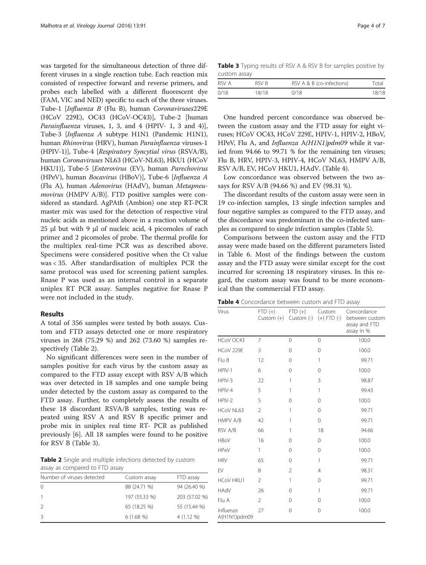was targeted for the simultaneous detection of three different viruses in a single reaction tube. Each reaction mix consisted of respective forward and reverse primers, and probes each labelled with a different fluorescent dye (FAM, VIC and NED) specific to each of the three viruses. Tube-1 [Influenza B (Flu B), human Coronaviruses229E (HCoV 229E), OC43 (HCoV-OC43)], Tube-2 [human *Parainfluenza* viruses, 1, 3, and 4 (HPIV- 1, 3 and 4)], Tube-3 [Influenza A subtype H1N1 (Pandemic H1N1), human Rhinovirus (HRV), human Parainfluenza viruses-1 (HPIV-1)], Tube-4 [Respiratory Syncytial virus (RSVA/B), human Coronaviruses NL63 (HCoV-NL63), HKU1 (HCoV HKU1)], Tube-5 [Enterovirus (EV), human Parechovirus (HPeV), human Bocavirus (HBoV)], Tube-6 [Influenza A (Flu A), human Adenovirus (HAdV), human Metapneumovirus (HMPV A/B)]. FTD positive samples were considered as standard. AgPAth (Ambion) one step RT-PCR master mix was used for the detection of respective viral nucleic acids as mentioned above in a reaction volume of 25 μl but with 9 μl of nucleic acid, 4 picomoles of each primer and 2 picomoles of probe. The thermal profile for the multiplex real-time PCR was as described above. Specimens were considered positive when the Ct value was < 35. After standardisation of multiplex PCR the same protocol was used for screening patient samples. Rnase P was used as an internal control in a separate uniplex RT PCR assay. Samples negative for Rnase P were not included in the study.

#### Results

A total of 356 samples were tested by both assays. Custom and FTD assays detected one or more respiratory viruses in 268 (75.29 %) and 262 (73.60 %) samples respectively (Table 2).

No significant differences were seen in the number of samples positive for each virus by the custom assay as compared to the FTD assay except with RSV A/B which was over detected in 18 samples and one sample being under detected by the custom assay as compared to the FTD assay. Further, to completely assess the results of these 18 discordant RSVA/B samples, testing was repeated using RSV A and RSV B specific primer and probe mix in uniplex real time RT- PCR as published previously [\[6\]](#page-6-0). All 18 samples were found to be positive for RSV B (Table 3).

Table 2 Single and multiple infections detected by custom assay as compared to FTD assay

| Number of viruses detected | Custom assay  | FTD assay     |
|----------------------------|---------------|---------------|
| 0                          | 88 (24.71 %)  | 94 (26.40 %)  |
|                            | 197 (55.33 %) | 203 (57.02 %) |
| 2                          | 65 (18.25 %)  | 55 (15.44 %)  |
| 3                          | $6(1.68\%)$   | $4(1.12\%)$   |

Table 3 Typing results of RSV A & RSV B for samples positive by custom assay

| RSV A | RSV B | RSV A & B (co-infections) | Total |
|-------|-------|---------------------------|-------|
| 0/18  | 18/18 | 0/18                      | 18/18 |

One hundred percent concordance was observed between the custom assay and the FTD assay for eight viruses; HCoV OC43, HCoV 229E, HPIV-1, HPIV-2, HBoV, HPeV, Flu A, and Influenza A(H1N1)pdm09 while it varied from 94.66 to 99.71 % for the remaining ten viruses; Flu B, HRV, HPIV-3, HPIV-4, HCoV NL63, HMPV A/B, RSV A/B, EV, HCoV HKU1, HAdV. (Table 4).

Low concordance was observed between the two assays for RSV A/B (94.66 %) and EV (98.31 %).

The discordant results of the custom assay were seen in 19 co-infection samples, 13 single infection samples and four negative samples as compared to the FTD assay, and the discordance was predominant in the co-infected samples as compared to single infection samples (Table [5](#page-4-0)).

Comparisons between the custom assay and the FTD assay were made based on the different parameters listed in Table [6.](#page-4-0) Most of the findings between the custom assay and the FTD assay were similar except for the cost incurred for screening 18 respiratory viruses. In this regard, the custom assay was found to be more economical than the commercial FTD assay.

**Table 4** Concordance between custom and FTD assay

| Virus                            | $FTD (+)$<br>Custom $(+)$ | FTD (+) Custom | Custom $(-)$ $(+)$ FTD $(-)$ | Concordance<br>between custom<br>assay and FTD<br>assay in % |
|----------------------------------|---------------------------|----------------|------------------------------|--------------------------------------------------------------|
| HCoV OC43                        | $\overline{7}$            | 0              | 0                            | 100.0                                                        |
| HCoV 229E                        | 3                         | $\Omega$       | $\Omega$                     | 100.0                                                        |
| Flu B                            | 12                        | 0              | 1                            | 99.71                                                        |
| HPIV-1                           | 6                         | 0              | $\Omega$                     | 100.0                                                        |
| HPIV-3                           | 22                        | 1              | 3                            | 98.87                                                        |
| HPIV-4                           | 5                         | $\mathbf{1}$   | 1                            | 99.43                                                        |
| HPIV-2                           | 5                         | 0              | $\Omega$                     | 100.0                                                        |
| HCoV NL63                        | $\overline{2}$            | 1              | 0                            | 99.71                                                        |
| <b>HMPV A/B</b>                  | 42                        | 1              | $\Omega$                     | 99.71                                                        |
| RSV A/B                          | 66                        | 1              | 18                           | 94.66                                                        |
| <b>HBoV</b>                      | 16                        | 0              | $\Omega$                     | 100.0                                                        |
| <b>HPeV</b>                      | 1                         | 0              | 0                            | 100.0                                                        |
| <b>HRV</b>                       | 65                        | $\Omega$       | 1                            | 99.71                                                        |
| <b>FV</b>                        | 8                         | $\overline{2}$ | $\overline{4}$               | 98.31                                                        |
| <b>HCoV HKU1</b>                 | $\overline{2}$            | 1              | 0                            | 99.71                                                        |
| <b>NAAH</b>                      | 26                        | 0              | 1                            | 99.71                                                        |
| Flu A                            | $\overline{2}$            | 0              | $\Omega$                     | 100.0                                                        |
| <i>Influenza</i><br>A(H1N1)pdm09 | 27                        | 0              | $\Omega$                     | 100.0                                                        |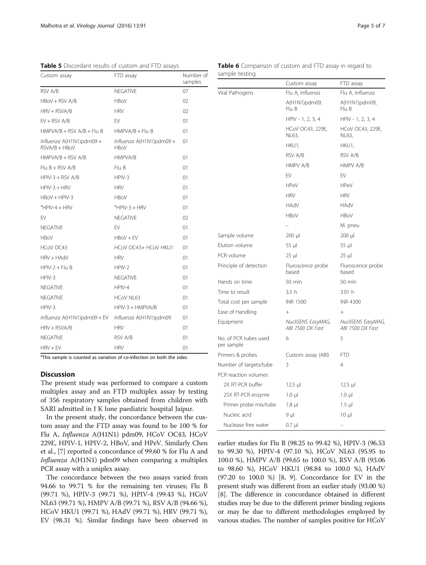| Custom assay                                       | FTD assay                                  | Number of<br>samples |
|----------------------------------------------------|--------------------------------------------|----------------------|
| RSV A/B                                            | <b>NEGATIVE</b>                            | 07                   |
| HBoV + RSV A/B                                     | <b>HBoV</b>                                | O <sub>2</sub>       |
| HRV + RSVA/B                                       | <b>HRV</b>                                 | O <sub>2</sub>       |
| $EV + RSV A/B$                                     | <b>FV</b>                                  | 01                   |
| $HMPVA/B + RSV A/B + Flu B$                        | $HMPVA/B + Flu B$                          | 01                   |
| Influenza A(H1N1)pdm09 +<br>RSVA/B + HBoV          | Influenza $A(H1N1)$ pdm09 +<br><b>HBoV</b> | 01                   |
| HMPVA/B + RSV A/B                                  | <b>HMPVA/B</b>                             | 01                   |
| $Flu B + RSV A/B$                                  | Flu B                                      | 01                   |
| HPIV-3 + RSV A/B                                   | $HPIV-3$                                   | 01                   |
| HPIV-3 + HRV                                       | <b>HRV</b>                                 | 01                   |
| HBoV + HPIV-3                                      | <b>HBOV</b>                                | 01                   |
| <sup>a</sup> HPIV-4 + HRV                          | $^{\circ}$ HPIV-3 + HRV                    | 01                   |
| EV                                                 | <b>NEGATIVE</b>                            | O <sub>2</sub>       |
| NEGATIVE                                           | EV                                         | 01                   |
| <b>HBoV</b>                                        | $HBox + FV$                                | 01                   |
| HCoV OC43                                          | HCoV OC43+ HCoV HKU1                       | 01                   |
| HRV + HAdV                                         | <b>HRV</b>                                 | 01                   |
| HPIV-2 + Flu B                                     | HPIV-2                                     | 01                   |
| HPIV-3                                             | <b>NFGATIVE</b>                            | 01                   |
| NEGATIVE                                           | HPIV-4                                     | 01                   |
| <b>NEGATIVE</b>                                    | HCoV NL63                                  | 01                   |
| HPIV-3                                             | $HPIV-3 + HMPVA/B$                         | 01                   |
| Influenza A(H1N1)pdm09 + EV Influenza A(H1N1)pdm09 |                                            | 01                   |
| HRV + RSVA/B                                       | <b>HRV</b>                                 | 01                   |
| NEGATIVE                                           | RSV A/B                                    | 01                   |
| $HRV + EV$                                         | <b>HRV</b>                                 | 01                   |
|                                                    |                                            |                      |

<span id="page-4-0"></span>Table 5 Discordant results of custom and FTD assays

<sup>a</sup>This sample is counted as variation of co-infection on both the sides

# **Discussion**

The present study was performed to compare a custom multiplex assay and an FTD multiplex assay by testing of 356 respiratory samples obtained from children with SARI admitted in J K lone paediatric hospital Jaipur.

In the present study, the concordance between the custom assay and the FTD assay was found to be 100 % for Flu A, Influenza A(H1N1) pdm09, HCoV OC43, HCoV 229E, HPIV-1, HPIV-2, HBoV, and HPeV. Similarly Chen et al., [[7](#page-6-0)] reported a concordance of 99.60 % for Flu A and Influenza A(H1N1) pdm09 when comparing a multiplex PCR assay with a uniplex assay.

The concordance between the two assays varied from 94.66 to 99.71 % for the remaining ten viruses; Flu B (99.71 %), HPIV-3 (99.71 %), HPIV-4 (99.43 %), HCoV NL63 (99.71 %), HMPV A/B (99.71 %), RSV A/B (94.66 %), HCoV HKU1 (99.71 %), HAdV (99.71 %), HRV (99.71 %), EV (98.31 %). Similar findings have been observed in

| Table 6 Comparison of custom and FTD assay in regard to |  |  |  |  |
|---------------------------------------------------------|--|--|--|--|
| sample testing                                          |  |  |  |  |

|                                     | Custom assay                           | FTD assay                              |
|-------------------------------------|----------------------------------------|----------------------------------------|
| Viral Pathogens                     | Flu A, <i>Influenza</i>                | Flu A, <i>Influenza</i>                |
|                                     | A(H1N1)pdm09,<br>Flu B                 | A(H1N1)pdm09,<br>Flu B                 |
|                                     | HPIV - 1, 2, 3, 4                      | HPIV - 1, 2, 3, 4                      |
|                                     | HCoV OC43, 229E,<br>NL63,              | <b>HCoV OC43, 229E,</b><br>NL63,       |
|                                     | HKU1,                                  | HKU1,                                  |
|                                     | RSV A/B                                | RSV A/B                                |
|                                     | <b>HMPV A/B</b>                        | <b>HMPV A/B</b>                        |
|                                     | EV                                     | EV                                     |
|                                     | <b>HPeV</b>                            | <b>HPeV</b>                            |
|                                     | <b>HRV</b>                             | <b>HRV</b>                             |
|                                     | HAdV                                   | HAdV                                   |
|                                     | <b>HBoV</b>                            | <b>HBoV</b>                            |
|                                     |                                        | M. pneu                                |
| Sample volume                       | $200 \mu$                              | $200 \mu$                              |
| Elution volume                      | 55 µl                                  | 55 µl                                  |
| PCR volume                          | $25 \mu$                               | $25 \mu$                               |
| Principle of detection              | Fluroscence probe<br>based             | Fluroscence probe<br>based             |
| Hands on time                       | 50 min                                 | 50 min                                 |
| Time to result                      | 3.5h                                   | 3.01h                                  |
| Total cost per sample               | <b>INR 1500</b>                        | <b>INR 4300</b>                        |
| Ease of Handling                    | $+$                                    | $+$                                    |
| Equipment                           | NucliSENS EasyMAG,<br>ABI 7500 DX Fast | NucliSENS EasyMAG,<br>ABI 7500 DX Fast |
| No. of PCR tubes used<br>per sample | 6                                      | 5                                      |
| Primers & probes                    | Custom assay (ABI)                     | <b>FTD</b>                             |
| Number of targets/tube              | 3                                      | 4                                      |
| PCR reaction volumes                |                                        |                                        |
| 2X RT-PCR buffer                    | 12.5 $\mu$                             | 12.5 µl                                |
| 25X RT-PCR enzyme                   | $1.0 \mu$                              | $1.0 \mu$                              |
| Primer probe mix/tube               | $1.8$ µ                                | 1.5 µl                                 |
| Nucleic acid                        | 9 µl                                   | $10 \mu$                               |
| Nuclease free water                 | $0.7$ µl                               |                                        |

earlier studies for Flu B (98.25 to 99.42 %), HPIV-3 (96.53 to 99.30 %), HPIV-4 (97.10 %), HCoV NL63 (95.95 to 100.0 %), HMPV A/B (99.65 to 100.0 %), RSV A/B (93.06 to 98.60 %), HCoV HKU1 (98.84 to 100.0 %), HAdV (97.20 to 100.0 %) [[8, 9\]](#page-6-0). Concordance for EV in the present study was different from an earlier study (93.00 %) [[8\]](#page-6-0). The difference in concordance obtained in different studies may be due to the different primer binding regions or may be due to different methodologies employed by various studies. The number of samples positive for HCoV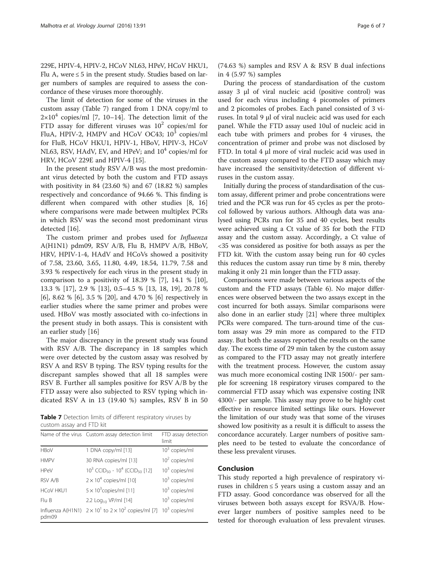229E, HPIV-4, HPIV-2, HCoV NL63, HPeV, HCoV HKU1, Flu A, were ≤ 5 in the present study. Studies based on larger numbers of samples are required to assess the concordance of these viruses more thoroughly.

The limit of detection for some of the viruses in the custom assay (Table 7) ranged from 1 DNA copy/ml to  $2\times10^4$  copies/ml [\[7](#page-6-0), [10](#page-6-0)–[14](#page-6-0)]. The detection limit of the FTD assay for different viruses was  $10^2$  copies/ml for FluA, HPIV-2, HMPV and HCoV OC43;  $10^3$  copies/ml for FluB, HCoV HKU1, HPIV-1, HBoV, HPIV-3, HCoV NL63, RSV, HAdV, EV, and HPeV; and  $10<sup>4</sup>$  copies/ml for HRV, HCoV 229E and HPIV-4 [[15\]](#page-6-0).

In the present study RSV A/B was the most predominant virus detected by both the custom and FTD assays with positivity in 84 (23.60 %) and 67 (18.82 %) samples respectively and concordance of 94.66 %. This finding is different when compared with other studies [[8, 16](#page-6-0)] where comparisons were made between multiplex PCRs in which RSV was the second most predominant virus detected [\[16](#page-6-0)].

The custom primer and probes used for Influenza A(H1N1) pdm09, RSV A/B, Flu B, HMPV A/B, HBoV, HRV, HPIV-1-4, HAdV and HCoVs showed a positivity of 7.58, 23.60, 3.65, 11.80, 4.49, 18.54, 11.79, 7.58 and 3.93 % respectively for each virus in the present study in comparison to a positivity of  $18.39 \%$  [[7\]](#page-6-0),  $14.1 \%$  [\[10](#page-6-0)], 13.3 % [\[17](#page-6-0)], 2.9 % [\[13](#page-6-0)], 0.5–4.5 % [\[13, 18, 19\]](#page-6-0), 20.78 % [[6\]](#page-6-0), 8.62 % [\[6](#page-6-0)], 3.5 % [[20](#page-6-0)], and 4.70 % [\[6](#page-6-0)] respectively in earlier studies where the same primer and probes were used. HBoV was mostly associated with co-infections in the present study in both assays. This is consistent with an earlier study [\[16\]](#page-6-0)

The major discrepancy in the present study was found with RSV A/B. The discrepancy in 18 samples which were over detected by the custom assay was resolved by RSV A and RSV B typing. The RSV typing results for the discrepant samples showed that all 18 samples were RSV B. Further all samples positive for RSV A/B by the FTD assay were also subjected to RSV typing which indicated RSV A in 13 (19.40 %) samples, RSV B in 50

Table 7 Detection limits of different respiratory viruses by custom assay and FTD kit

|                  | Name of the virus Custom assay detection limit                     | FTD assay detection<br>limit |
|------------------|--------------------------------------------------------------------|------------------------------|
| <b>HBoV</b>      | 1 DNA copy/ml [13]                                                 | $103$ copies/ml              |
| <b>HMPV</b>      | 30 RNA copies/ml [13]                                              | $102$ copies/ml              |
| <b>HPeV</b>      | $10^3$ CCID <sub>50</sub> - $10^4$ (CCID <sub>50</sub> [12]        | $103$ copies/ml              |
| RSV A/B          | $2 \times 10^4$ copies/ml [10]                                     | $103$ copies/ml              |
| <b>HCoV HKU1</b> | $5 \times 10^3$ copies/ml [11]                                     | $103$ copies/ml              |
| Flu B            | 2.2 Log <sub>10</sub> VP/ml [14]                                   | $103$ copies/ml              |
| pdm09            | Influenza A(H1N1) $2 \times 10^1$ to $2 \times 10^2$ copies/ml [7] | $103$ copies/ml              |

(74.63 %) samples and RSV A & RSV B dual infections in 4 (5.97 %) samples

During the process of standardisation of the custom assay 3 μl of viral nucleic acid (positive control) was used for each virus including 4 picomoles of primers and 2 picomoles of probes. Each panel consisted of 3 viruses. In total 9 μl of viral nucleic acid was used for each panel. While the FTD assay used 10ul of nucleic acid in each tube with primers and probes for 4 viruses, the concentration of primer and probe was not disclosed by FTD. In total 4 μl more of viral nucleic acid was used in the custom assay compared to the FTD assay which may have increased the sensitivity/detection of different viruses in the custom assay.

Initially during the process of standardisation of the custom assay, different primer and probe concentrations were tried and the PCR was run for 45 cycles as per the protocol followed by various authors. Although data was analysed using PCRs run for 35 and 40 cycles, best results were achieved using a Ct value of 35 for both the FTD assay and the custom assay. Accordingly, a Ct value of <35 was considered as positive for both assays as per the FTD kit. With the custom assay being run for 40 cycles this reduces the custom assay run time by 8 min, thereby making it only 21 min longer than the FTD assay.

Comparisons were made between various aspects of the custom and the FTD assays (Table [6](#page-4-0)). No major differences were observed between the two assays except in the cost incurred for both assays. Similar comparisons were also done in an earlier study [\[21\]](#page-6-0) where three multiplex PCRs were compared. The turn-around time of the custom assay was 29 min more as compared to the FTD assay. But both the assays reported the results on the same day. The excess time of 29 min taken by the custom assay as compared to the FTD assay may not greatly interfere with the treatment process. However, the custom assay was much more economical costing INR 1500/- per sample for screening 18 respiratory viruses compared to the commercial FTD assay which was expensive costing INR 4300/- per sample. This assay may prove to be highly cost effective in resource limited settings like ours. However the limitation of our study was that some of the viruses showed low positivity as a result it is difficult to assess the concordance accurately. Larger numbers of positive samples need to be tested to evaluate the concordance of these less prevalent viruses.

# Conclusion

This study reported a high prevalence of respiratory viruses in children ≤ 5 years using a custom assay and an FTD assay. Good concordance was observed for all the viruses between both assays except for RSVA/B. However larger numbers of positive samples need to be tested for thorough evaluation of less prevalent viruses.